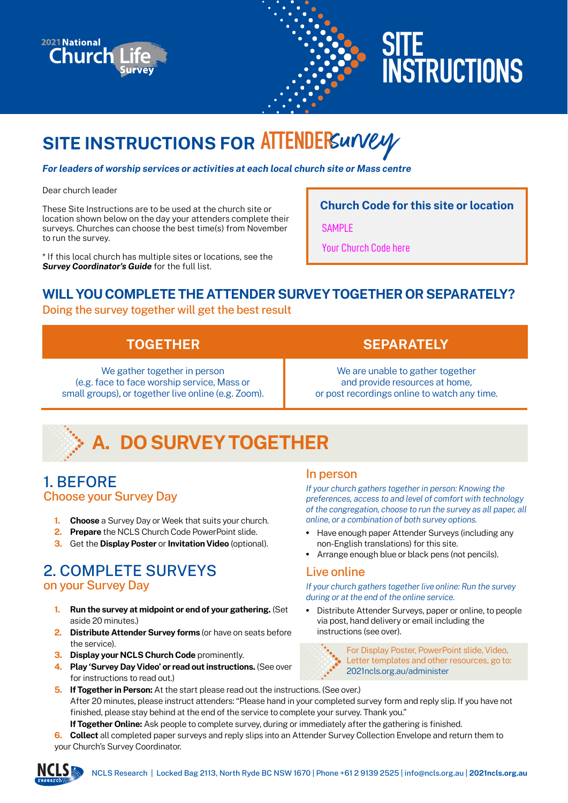



# **SITE INSTRUCTIONS**

## **SITE INSTRUCTIONS FOR ATTENDER**survey

*For leaders of worship services or activities at each local church site or Mass centre*

#### Dear church leader

These Site Instructions are to be used at the church site or location shown below on the day your attenders complete their surveys. Churches can choose the best time(s) from November to run the survey.

\* If this local church has multiple sites or locations, see the *Survey Coordinator's Guide* for the full list.

**Church Code for this site or location**

**SAMPLE** 

Your Church Code here

## **WILL YOU COMPLETE THE ATTENDER SURVEY TOGETHER OR SEPARATELY?**

#### Doing the survey together will get the best result

| <b>TOGETHER</b>                                     | <b>SEPARATELY</b>                            |
|-----------------------------------------------------|----------------------------------------------|
| We gather together in person                        | We are unable to gather together             |
| (e.g. face to face worship service, Mass or         | and provide resources at home,               |
| small groups), or together live online (e.g. Zoom). | or post recordings online to watch any time. |

# **A. DO SURVEY TOGETHER**

### 1. BEFORE Choose your Survey Day

- **1. Choose** a Survey Day or Week that suits your church.
- **2. Prepare** the NCLS Church Code PowerPoint slide.
- **3.** Get the **Display Poster** or **Invitation Video** (optional).

### 2. COMPLETE SURVEYS on your Survey Day

- **1. Run the survey at midpoint or end of your gathering.** (Set aside 20 minutes.)
- **2. Distribute Attender Survey forms** (or have on seats before the service).
- **3. Display your NCLS Church Code** prominently.
- **4. Play 'Survey Day Video' or read out instructions.** (See over for instructions to read out.)

#### In person

*If your church gathers together in person: Knowing the preferences, access to and level of comfort with technology of the congregation, choose to run the survey as all paper, all online, or a combination of both survey options.*

- Have enough paper Attender Surveys (including any non-English translations) for this site.
- Arrange enough blue or black pens (not pencils).

### Live online

*If your church gathers together live online: Run the survey during or at the end of the online service.*

• Distribute Attender Surveys, paper or online, to people via post, hand delivery or email including the instructions (see over).



For Display Poster, PowerPoint slide, Video, Letter templates and other resources, go to: 2021ncls.org.au/administer

**5. If Together in Person:** At the start please read out the instructions. (See over.) After 20 minutes, please instruct attenders: "Please hand in your completed survey form and reply slip. If you have not finished, please stay behind at the end of the service to complete your survey. Thank you."

**If Together Online:** Ask people to complete survey, during or immediately after the gathering is finished.

**6. Collect** all completed paper surveys and reply slips into an Attender Survey Collection Envelope and return them to your Church's Survey Coordinator.